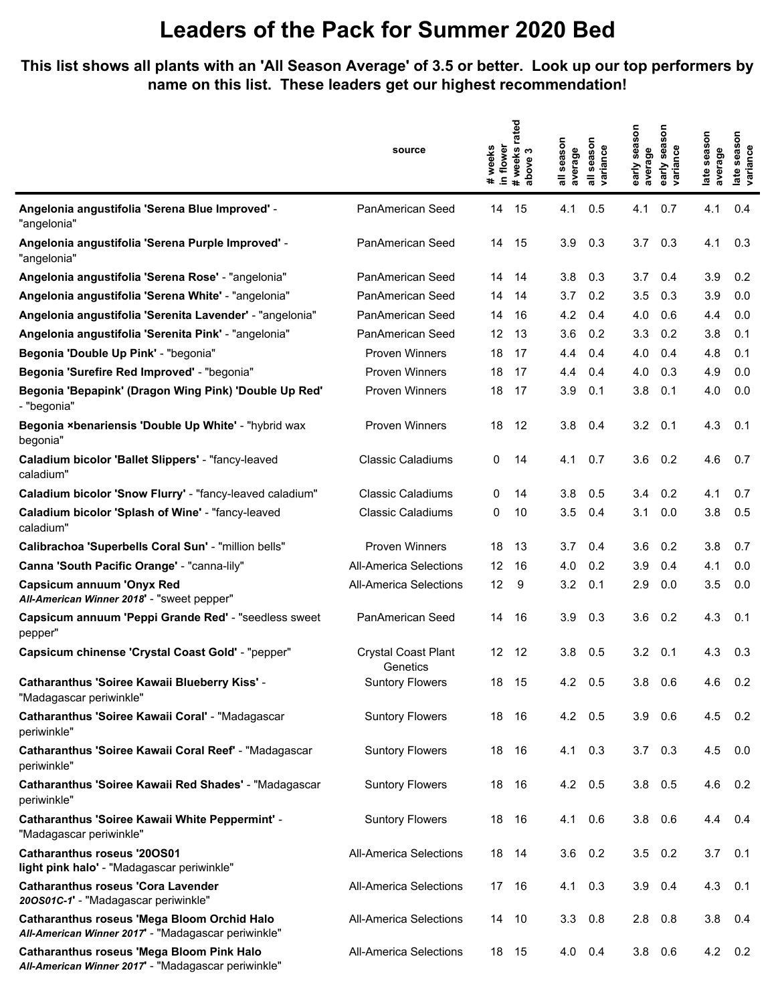#### **This list shows all plants with an 'All Season Average' of 3.5 or better. Look up our top performers by name on this list. These leaders get our highest recommendation!**

|                                                                                                         | source                                 | in flower<br>weeks<br>$\ddot{}$ | rated<br>weeks<br>bove 3<br>above<br>$\ddot{\phantom{1}}$ | season<br>average | season<br>variance | season<br>average<br>early | season<br>variance<br>early | season<br>average<br>late | season<br>late seas<br>variance |
|---------------------------------------------------------------------------------------------------------|----------------------------------------|---------------------------------|-----------------------------------------------------------|-------------------|--------------------|----------------------------|-----------------------------|---------------------------|---------------------------------|
| Angelonia angustifolia 'Serena Blue Improved' -<br>"angelonia"                                          | PanAmerican Seed                       | 14                              | 15                                                        | 4.1               | 0.5                | 4.1                        | 0.7                         | 4.1                       | 0.4                             |
| Angelonia angustifolia 'Serena Purple Improved' -<br>"angelonia"                                        | PanAmerican Seed                       | 14                              | 15                                                        | 3.9               | 0.3                | 3.7                        | 0.3                         | 4.1                       | 0.3                             |
| Angelonia angustifolia 'Serena Rose' - "angelonia"                                                      | PanAmerican Seed                       | 14                              | 14                                                        | 3.8               | 0.3                | 3.7                        | 0.4                         | 3.9                       | 0.2                             |
| Angelonia angustifolia 'Serena White' - "angelonia"                                                     | PanAmerican Seed                       | 14                              | 14                                                        | 3.7               | 0.2                | 3.5                        | 0.3                         | 3.9                       | 0.0                             |
| Angelonia angustifolia 'Serenita Lavender' - "angelonia"                                                | PanAmerican Seed                       | 14                              | 16                                                        | 4.2               | 0.4                | 4.0                        | 0.6                         | 4.4                       | 0.0                             |
| Angelonia angustifolia 'Serenita Pink' - "angelonia"                                                    | PanAmerican Seed                       | 12                              | 13                                                        | 3.6               | 0.2                | 3.3                        | 0.2                         | 3.8                       | 0.1                             |
| Begonia 'Double Up Pink' - "begonia"                                                                    | <b>Proven Winners</b>                  | 18                              | 17                                                        | 4.4               | 0.4                | 4.0                        | 0.4                         | 4.8                       | 0.1                             |
| Begonia 'Surefire Red Improved' - "begonia"                                                             | <b>Proven Winners</b>                  | 18                              | 17                                                        | 4.4               | 0.4                | 4.0                        | 0.3                         | 4.9                       | 0.0                             |
| Begonia 'Bepapink' (Dragon Wing Pink) 'Double Up Red'<br>- "begonia"                                    | <b>Proven Winners</b>                  | 18                              | 17                                                        | 3.9               | 0.1                | 3.8                        | 0.1                         | 4.0                       | 0.0                             |
| Begonia ×benariensis 'Double Up White' - "hybrid wax<br>begonia"                                        | <b>Proven Winners</b>                  | 18                              | 12                                                        | 3.8               | 0.4                | 3.2                        | 0.1                         | 4.3                       | 0.1                             |
| Caladium bicolor 'Ballet Slippers' - "fancy-leaved<br>caladium"                                         | <b>Classic Caladiums</b>               | 0                               | 14                                                        | 4.1               | 0.7                | 3.6                        | 0.2                         | 4.6                       | 0.7                             |
| Caladium bicolor 'Snow Flurry' - "fancy-leaved caladium"                                                | <b>Classic Caladiums</b>               | 0                               | 14                                                        | 3.8               | 0.5                | 3.4                        | 0.2                         | 4.1                       | 0.7                             |
| Caladium bicolor 'Splash of Wine' - "fancy-leaved<br>caladium"                                          | <b>Classic Caladiums</b>               | 0                               | 10                                                        | 3.5               | 0.4                | 3.1                        | 0.0                         | 3.8                       | 0.5                             |
| Calibrachoa 'Superbells Coral Sun' - "million bells"                                                    | <b>Proven Winners</b>                  | 18                              | 13                                                        | 3.7               | 0.4                | 3.6                        | 0.2                         | 3.8                       | 0.7                             |
| Canna 'South Pacific Orange' - "canna-lily"                                                             | <b>All-America Selections</b>          | 12                              | 16                                                        | 4.0               | 0.2                | 3.9                        | 0.4                         | 4.1                       | 0.0                             |
| <b>Capsicum annuum 'Onyx Red</b><br>All-American Winner 2018' - "sweet pepper"                          | <b>All-America Selections</b>          | 12                              | 9                                                         | 3.2               | 0.1                | 2.9                        | 0.0                         | 3.5                       | 0.0                             |
| Capsicum annuum 'Peppi Grande Red' - "seedless sweet<br>pepper"                                         | PanAmerican Seed                       | 14                              | 16                                                        | 3.9               | 0.3                | 3.6                        | 0.2                         | 4.3                       | 0.1                             |
| Capsicum chinense 'Crystal Coast Gold' - "pepper"                                                       | <b>Crystal Coast Plant</b><br>Genetics | 12 <sup>°</sup>                 | 12                                                        | 3.8               | 0.5                | 3.2                        | 0.1                         | 4.3                       | 0.3                             |
| Catharanthus 'Soiree Kawaii Blueberry Kiss' -<br>"Madagascar periwinkle"                                | <b>Suntory Flowers</b>                 | 18                              | 15                                                        | 4.2               | 0.5                | 3.8                        | 0.6                         | 4.6                       | 0.2                             |
| Catharanthus 'Soiree Kawaii Coral' - "Madagascar<br>periwinkle"                                         | <b>Suntory Flowers</b>                 |                                 | 18 16                                                     | 4.2 0.5           |                    | 3.9                        | 0.6                         | 4.5                       | 0.2                             |
| Catharanthus 'Soiree Kawaii Coral Reef' - "Madagascar<br>periwinkle"                                    | <b>Suntory Flowers</b>                 |                                 | 18 16                                                     | 4.1               | 0.3                | $3.7\quad 0.3$             |                             | 4.5                       | 0.0                             |
| Catharanthus 'Soiree Kawaii Red Shades' - "Madagascar<br>periwinkle"                                    | <b>Suntory Flowers</b>                 | 18                              | 16                                                        | 4.2               | 0.5                | $3.8$ 0.5                  |                             | 4.6                       | 0.2                             |
| Catharanthus 'Soiree Kawaii White Peppermint' -<br>"Madagascar periwinkle"                              | <b>Suntory Flowers</b>                 |                                 | 18 16                                                     | 4.1               | 0.6                | $3.8$ 0.6                  |                             | $4.4 \quad 0.4$           |                                 |
| <b>Catharanthus roseus '200S01</b><br>light pink halo' - "Madagascar periwinkle"                        | <b>All-America Selections</b>          | 18 14                           |                                                           | 3.6               | 0.2                | 3.5                        | 0.2                         | 3.7                       | 0.1                             |
| <b>Catharanthus roseus 'Cora Lavender</b><br>200S01C-1' - "Madagascar periwinkle"                       | All-America Selections                 | 17 16                           |                                                           | 4.1               | 0.3                | 3.9                        | 0.4                         | 4.3                       | 0.1                             |
| Catharanthus roseus 'Mega Bloom Orchid Halo<br>All-American Winner 2017' - "Madagascar periwinkle"      | <b>All-America Selections</b>          | 14                              | 10                                                        | 3.3               | 0.8                | 2.8                        | 0.8                         | 3.8                       | 0.4                             |
| <b>Catharanthus roseus 'Mega Bloom Pink Halo</b><br>All-American Winner 2017' - "Madagascar periwinkle" | All-America Selections                 |                                 | 18 15                                                     | 4.0               | 0.4                | $3.8\quad 0.6$             |                             | 4.2                       | 0.2                             |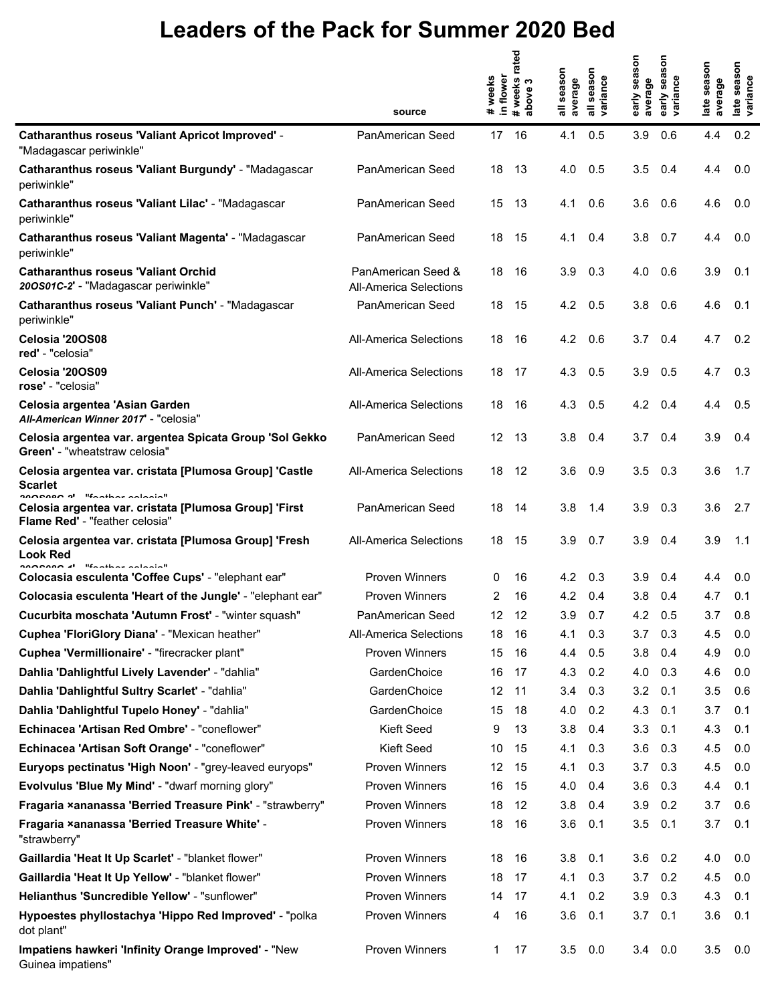|                                                                                                  | source                                       | in flower<br># weeks | #weeks rated<br>above 3 | season<br>average | season<br>variance | g<br>Ō,<br>early sea<br>average | Son<br>sea<br>early sea<br>variance | late season<br>average | late season<br>variance |
|--------------------------------------------------------------------------------------------------|----------------------------------------------|----------------------|-------------------------|-------------------|--------------------|---------------------------------|-------------------------------------|------------------------|-------------------------|
| <b>Catharanthus roseus 'Valiant Apricot Improved' -</b><br>"Madagascar periwinkle"               | PanAmerican Seed                             | 17 16                |                         | 4.1               | 0.5                | 3.9                             | 0.6                                 | 4.4                    | 0.2                     |
| Catharanthus roseus 'Valiant Burgundy' - "Madagascar<br>periwinkle"                              | PanAmerican Seed                             | 18 13                |                         | 4.0               | 0.5                | 3.5                             | 0.4                                 | 4.4                    | 0.0                     |
| Catharanthus roseus 'Valiant Lilac' - "Madagascar<br>periwinkle"                                 | PanAmerican Seed                             | 15                   | -13                     | 4.1               | 0.6                | 3.6                             | 0.6                                 | 4.6                    | 0.0                     |
| Catharanthus roseus 'Valiant Magenta' - "Madagascar<br>periwinkle"                               | <b>PanAmerican Seed</b>                      | 18                   | -15                     | 4.1               | 0.4                | 3.8                             | 0.7                                 | 4.4                    | 0.0                     |
| <b>Catharanthus roseus 'Valiant Orchid</b><br>200S01C-2' - "Madagascar periwinkle"               | PanAmerican Seed &<br>All-America Selections | 18                   | -16                     | 3.9               | 0.3                | 4.0                             | 0.6                                 | 3.9                    | 0.1                     |
| Catharanthus roseus 'Valiant Punch' - "Madagascar<br>periwinkle"                                 | PanAmerican Seed                             | 18 15                |                         | $4.2\quad 0.5$    |                    | 3.8                             | 0.6                                 | 4.6                    | 0.1                     |
| Celosia '20OS08<br>red' - "celosia"                                                              | All-America Selections                       | 18                   | -16                     | 4.2               | 0.6                | 3.7                             | 0.4                                 | 4.7                    | 0.2                     |
| Celosia '20OS09<br>rose' - "celosia"                                                             | All-America Selections                       | 18                   | -17                     | 4.3               | 0.5                | 3.9                             | 0.5                                 | 4.7                    | 0.3                     |
| Celosia argentea 'Asian Garden<br>All-American Winner 2017' - "celosia"                          | All-America Selections                       | 18                   | -16                     | 4.3               | 0.5                | 4.2 0.4                         |                                     | 4.4                    | 0.5                     |
| Celosia argentea var. argentea Spicata Group 'Sol Gekko<br>Green' - "wheatstraw celosia"         | <b>PanAmerican Seed</b>                      | 12 <sup>°</sup>      | -13                     | 3.8               | 0.4                | 3.7                             | 0.4                                 | 3.9                    | 0.4                     |
| Celosia argentea var. cristata [Plumosa Group] 'Castle<br>Scarlet<br>nonnann al Westbaussbatch   | All-America Selections                       | 18                   | - 12                    | 3.6               | 0.9                | 3.5                             | 0.3                                 | 3.6                    | 1.7                     |
| Celosia argentea var. cristata [Plumosa Group] 'First<br>Flame Red' - "feather celosia"          | <b>PanAmerican Seed</b>                      | 18                   | -14                     | 3.8               | 1.4                | 3.9                             | 0.3                                 | 3.6                    | 2.7                     |
| Celosia argentea var. cristata [Plumosa Group] 'Fresh<br>Look Red<br>nonnon al "factica calcaia" | All-America Selections                       | 18                   | -15                     | 3.9               | 0.7                | 3.9                             | 0.4                                 | 3.9                    | 1.1                     |
| Colocasia esculenta 'Coffee Cups' - "elephant ear"                                               | <b>Proven Winners</b>                        | 0                    | 16                      | 4.2               | 0.3                | 3.9                             | 0.4                                 | 4.4                    | 0.0                     |
| Colocasia esculenta 'Heart of the Jungle' - "elephant ear"                                       | <b>Proven Winners</b>                        | 2                    | 16                      | 4.2               | 0.4                | 3.8                             | 0.4                                 | 4.7                    | 0.1                     |
| Cucurbita moschata 'Autumn Frost' - "winter squash"                                              | PanAmerican Seed                             | 12                   | 12                      | 3.9               | 0.7                | 4.2                             | 0.5                                 | 3.7                    | 0.8                     |
| Cuphea 'FloriGlory Diana' - "Mexican heather"                                                    | <b>All-America Selections</b>                | 18                   | 16                      | 4.1               | 0.3                | 3.7                             | 0.3                                 | 4.5                    | 0.0                     |
| Cuphea 'Vermillionaire' - "firecracker plant"                                                    | <b>Proven Winners</b>                        | 15                   | 16                      | 4.4               | 0.5                | 3.8                             | 0.4                                 | 4.9                    | 0.0                     |
| Dahlia 'Dahlightful Lively Lavender' - "dahlia"                                                  | GardenChoice                                 | 16                   | 17                      | 4.3               | 0.2                | 4.0                             | 0.3                                 | 4.6                    | 0.0                     |
| Dahlia 'Dahlightful Sultry Scarlet' - "dahlia"                                                   | GardenChoice                                 | 12                   | 11                      | 3.4               | 0.3                | 3.2                             | 0.1                                 | 3.5                    | 0.6                     |
| Dahlia 'Dahlightful Tupelo Honey' - "dahlia"                                                     | GardenChoice                                 | 15                   | 18                      | 4.0               | 0.2                | 4.3                             | 0.1                                 | 3.7                    | 0.1                     |
| Echinacea 'Artisan Red Ombre' - "coneflower"                                                     | Kieft Seed                                   | 9                    | 13                      | 3.8               | 0.4                | 3.3                             | 0.1                                 | 4.3                    | 0.1                     |
| Echinacea 'Artisan Soft Orange' - "coneflower"                                                   | Kieft Seed                                   | 10                   | 15                      | 4.1               | 0.3                | 3.6                             | 0.3                                 | 4.5                    | 0.0                     |
| Euryops pectinatus 'High Noon' - "grey-leaved euryops"                                           | <b>Proven Winners</b>                        | 12                   | 15                      | 4.1               | 0.3                | 3.7                             | 0.3                                 | 4.5                    | 0.0                     |
| Evolvulus 'Blue My Mind' - "dwarf morning glory"                                                 | <b>Proven Winners</b>                        | 16                   | 15                      | 4.0               | 0.4                | 3.6                             | 0.3                                 | 4.4                    | 0.1                     |
| Fragaria xananassa 'Berried Treasure Pink' - "strawberry"                                        | <b>Proven Winners</b>                        | 18                   | 12                      | 3.8               | 0.4                | 3.9                             | 0.2                                 | 3.7                    | 0.6                     |
| Fragaria ×ananassa 'Berried Treasure White' -<br>"strawberry"                                    | <b>Proven Winners</b>                        | 18                   | 16                      | 3.6               | 0.1                | 3.5                             | 0.1                                 | 3.7                    | 0.1                     |
| Gaillardia 'Heat It Up Scarlet' - "blanket flower"                                               | <b>Proven Winners</b>                        | 18                   | 16                      | 3.8               | 0.1                | 3.6                             | 0.2                                 | 4.0                    | 0.0                     |
| Gaillardia 'Heat It Up Yellow' - "blanket flower"                                                | <b>Proven Winners</b>                        | 18                   | 17                      | 4.1               | 0.3                | 3.7                             | 0.2                                 | 4.5                    | 0.0                     |
| Helianthus 'Suncredible Yellow' - "sunflower"                                                    | <b>Proven Winners</b>                        | 14                   | -17                     | 4.1               | 0.2                | 3.9                             | 0.3                                 | 4.3                    | 0.1                     |
| Hypoestes phyllostachya 'Hippo Red Improved' - "polka<br>dot plant"                              | <b>Proven Winners</b>                        | 4                    | 16                      | 3.6               | 0.1                | 3.7                             | 0.1                                 | 3.6                    | 0.1                     |
| Impatiens hawkeri 'Infinity Orange Improved' - "New<br>Guinea impatiens"                         | Proven Winners                               | 1                    | 17                      | 3.5               | 0.0                |                                 | $3.4\quad 0.0$                      | 3.5                    | 0.0                     |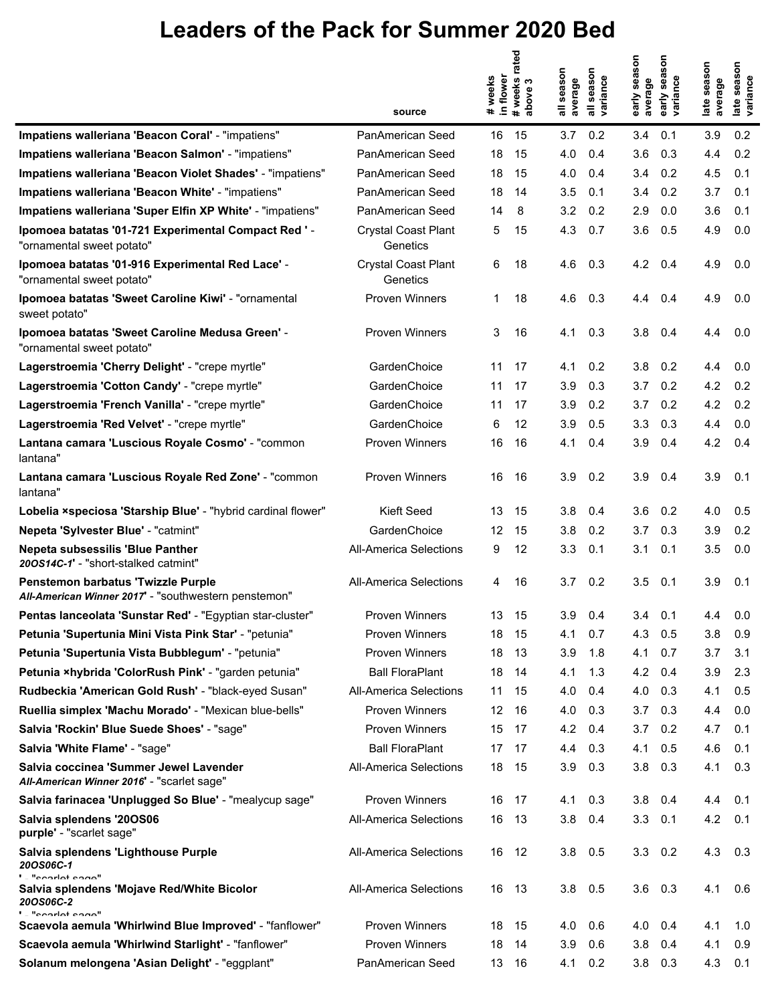|                                                                                            | source                                 | weeks<br>in flower<br>$\pmb{\ast}$ | rated<br>#weeks r<br>above 3 | season<br>average | season<br>variance | early season<br>average | Son<br>sea<br>variance<br>early | late season<br>average | late season<br>variance |
|--------------------------------------------------------------------------------------------|----------------------------------------|------------------------------------|------------------------------|-------------------|--------------------|-------------------------|---------------------------------|------------------------|-------------------------|
| Impatiens walleriana 'Beacon Coral' - "impatiens"                                          | PanAmerican Seed                       | 16                                 | 15                           | 3.7               | 0.2                | 3.4                     | 0.1                             | 3.9                    | 0.2                     |
| Impatiens walleriana 'Beacon Salmon' - "impatiens"                                         | PanAmerican Seed                       | 18                                 | 15                           | 4.0               | 0.4                | 3.6                     | 0.3                             | 4.4                    | 0.2                     |
| Impatiens walleriana 'Beacon Violet Shades' - "impatiens"                                  | PanAmerican Seed                       | 18                                 | 15                           | 4.0               | 0.4                | 3.4                     | 0.2                             | 4.5                    | 0.1                     |
| Impatiens walleriana 'Beacon White' - "impatiens"                                          | PanAmerican Seed                       | 18                                 | 14                           | 3.5               | 0.1                | 3.4                     | 0.2                             | 3.7                    | 0.1                     |
| Impatiens walleriana 'Super Elfin XP White' - "impatiens"                                  | PanAmerican Seed                       | 14                                 | 8                            | 3.2               | 0.2                | 2.9                     | 0.0                             | 3.6                    | 0.1                     |
| Ipomoea batatas '01-721 Experimental Compact Red ' -<br>"ornamental sweet potato"          | <b>Crystal Coast Plant</b><br>Genetics | 5                                  | 15                           | 4.3               | 0.7                | 3.6                     | 0.5                             | 4.9                    | 0.0                     |
| Ipomoea batatas '01-916 Experimental Red Lace' -<br>"ornamental sweet potato"              | <b>Crystal Coast Plant</b><br>Genetics | 6                                  | 18                           | 4.6               | 0.3                | 4.2                     | 0.4                             | 4.9                    | 0.0                     |
| Ipomoea batatas 'Sweet Caroline Kiwi' - "ornamental<br>sweet potato"                       | <b>Proven Winners</b>                  | 1                                  | 18                           | 4.6               | 0.3                | 4.4                     | 0.4                             | 4.9                    | 0.0                     |
| Ipomoea batatas 'Sweet Caroline Medusa Green' -<br>"ornamental sweet potato"               | <b>Proven Winners</b>                  | 3                                  | 16                           | 4.1               | 0.3                | 3.8                     | 0.4                             | 4.4                    | 0.0                     |
| Lagerstroemia 'Cherry Delight' - "crepe myrtle"                                            | GardenChoice                           | 11                                 | 17                           | 4.1               | 0.2                | 3.8                     | 0.2                             | 4.4                    | 0.0                     |
| Lagerstroemia 'Cotton Candy' - "crepe myrtle"                                              | GardenChoice                           | 11                                 | 17                           | 3.9               | 0.3                | 3.7                     | 0.2                             | 4.2                    | 0.2                     |
| Lagerstroemia 'French Vanilla' - "crepe myrtle"                                            | GardenChoice                           | 11                                 | 17                           | 3.9               | 0.2                | 3.7                     | 0.2                             | 4.2                    | 0.2                     |
| Lagerstroemia 'Red Velvet' - "crepe myrtle"                                                | GardenChoice                           | 6                                  | 12                           | 3.9               | 0.5                | 3.3                     | 0.3                             | 4.4                    | 0.0                     |
| Lantana camara 'Luscious Royale Cosmo' - "common<br>lantana"                               | Proven Winners                         | 16                                 | 16                           | 4.1               | 0.4                | 3.9                     | 0.4                             | 4.2                    | 0.4                     |
| Lantana camara 'Luscious Royale Red Zone' - "common<br>lantana"                            | <b>Proven Winners</b>                  | 16                                 | 16                           | 3.9               | 0.2                | 3.9                     | 0.4                             | 3.9                    | 0.1                     |
| Lobelia xspeciosa 'Starship Blue' - "hybrid cardinal flower"                               | Kieft Seed                             | 13                                 | 15                           | 3.8               | 0.4                | 3.6                     | 0.2                             | 4.0                    | 0.5                     |
| Nepeta 'Sylvester Blue' - "catmint"                                                        | GardenChoice                           | 12                                 | 15                           | 3.8               | 0.2                | 3.7                     | 0.3                             | 3.9                    | 0.2                     |
| <b>Nepeta subsessilis 'Blue Panther</b><br>200S14C-1' - "short-stalked catmint"            | <b>All-America Selections</b>          | 9                                  | 12                           | 3.3               | 0.1                | 3.1                     | 0.1                             | 3.5                    | 0.0                     |
| Penstemon barbatus 'Twizzle Purple<br>All-American Winner 2017' - "southwestern penstemon" | <b>All-America Selections</b>          | 4                                  | 16                           | 3.7               | 0.2                | 3.5                     | 0.1                             | 3.9                    | 0.1                     |
| Pentas lanceolata 'Sunstar Red' - "Egyptian star-cluster"                                  | <b>Proven Winners</b>                  | 13                                 | 15                           | 3.9               | 0.4                | 3.4                     | 0.1                             | 4.4                    | 0.0                     |
| Petunia 'Supertunia Mini Vista Pink Star' - "petunia"                                      | <b>Proven Winners</b>                  | 18                                 | 15                           | 4.1               | 0.7                | 4.3                     | 0.5                             | 3.8                    | 0.9                     |
| Petunia 'Supertunia Vista Bubblegum' - "petunia"                                           | Proven Winners                         | 18                                 | 13                           | 3.9               | 1.8                | 4.1                     | 0.7                             | 3.7                    | 3.1                     |
| Petunia xhybrida 'ColorRush Pink' - "garden petunia"                                       | <b>Ball FloraPlant</b>                 | 18                                 | 14                           | 4.1               | 1.3                | 4.2                     | 0.4                             | 3.9                    | 2.3                     |
| Rudbeckia 'American Gold Rush' - "black-eyed Susan"                                        | <b>All-America Selections</b>          | 11                                 | 15                           | 4.0               | 0.4                | 4.0                     | 0.3                             | 4.1                    | 0.5                     |
| Ruellia simplex 'Machu Morado' - "Mexican blue-bells"                                      | Proven Winners                         | 12                                 | 16                           | 4.0               | 0.3                | 3.7                     | 0.3                             | 4.4                    | 0.0                     |
| Salvia 'Rockin' Blue Suede Shoes' - "sage"                                                 | <b>Proven Winners</b>                  | 15                                 | 17                           | 4.2               | 0.4                | 3.7                     | 0.2                             | 4.7                    | 0.1                     |
| Salvia 'White Flame' - "sage"                                                              | <b>Ball FloraPlant</b>                 | 17                                 | 17                           | 4.4               | 0.3                | 4.1                     | 0.5                             | 4.6                    | 0.1                     |
| Salvia coccinea 'Summer Jewel Lavender<br>All-American Winner 2016' - "scarlet sage"       | <b>All-America Selections</b>          | 18                                 | 15                           | 3.9               | 0.3                | 3.8                     | 0.3                             | 4.1                    | 0.3                     |
| Salvia farinacea 'Unplugged So Blue' - "mealycup sage"                                     | <b>Proven Winners</b>                  | 16                                 | 17                           | 4.1               | 0.3                | 3.8                     | 0.4                             | 4.4                    | 0.1                     |
| Salvia splendens '20OS06<br>purple' - "scarlet sage"                                       | <b>All-America Selections</b>          | 16                                 | 13                           | 3.8               | 0.4                | 3.3                     | 0.1                             | 4.2                    | 0.1                     |
| Salvia splendens 'Lighthouse Purple<br>20OS06C-1<br>$\blacksquare$ "coorlot cono"          | <b>All-America Selections</b>          | 16                                 | 12                           | 3.8               | 0.5                | 3.3                     | 0.2                             | 4.3                    | 0.3                     |
| Salvia splendens 'Mojave Red/White Bicolor<br>20OS06C-2<br>' "coorlot cogo"                | <b>All-America Selections</b>          | 16                                 | - 13                         | 3.8               | 0.5                |                         | $3.6$ 0.3                       | 4.1                    | 0.6                     |
| Scaevola aemula 'Whirlwind Blue Improved' - "fanflower"                                    | Proven Winners                         | 18                                 | 15                           | 4.0               | 0.6                | 4.0                     | 0.4                             | 4.1                    | 1.0                     |
| Scaevola aemula 'Whirlwind Starlight' - "fanflower"                                        | <b>Proven Winners</b>                  | 18                                 | 14                           | 3.9               | 0.6                | 3.8                     | 0.4                             | 4.1                    | 0.9                     |
| Solanum melongena 'Asian Delight' - "eggplant"                                             | PanAmerican Seed                       | 13                                 | 16                           | 4.1               | 0.2                | 3.8                     | 0.3                             | 4.3                    | 0.1                     |